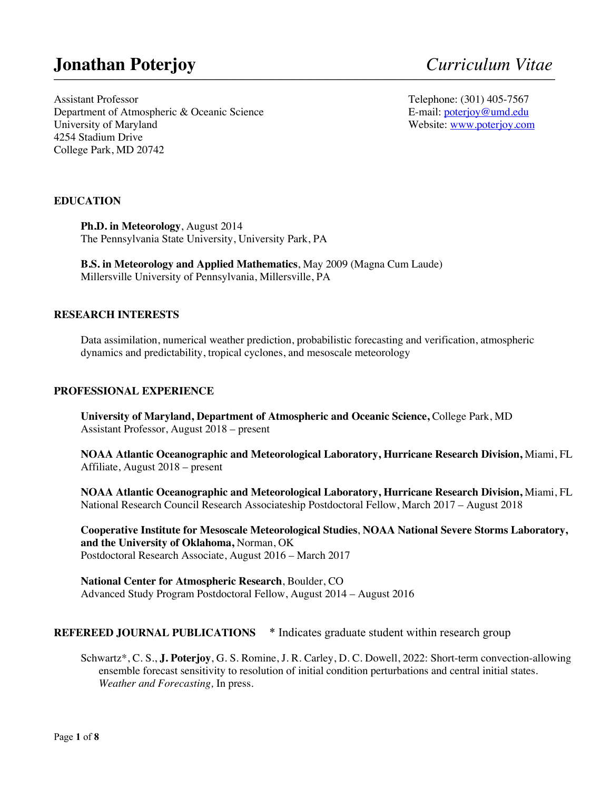# **Jonathan Poterjoy** *Curriculum Vitae*

Assistant Professor Department of Atmospheric & Oceanic Science University of Maryland 4254 Stadium Drive College Park, MD 20742

Telephone: (301) 405-7567 E-mail: poterjoy@umd.edu Website: www.poterjoy.com

# **EDUCATION**

**Ph.D. in Meteorology**, August 2014 The Pennsylvania State University, University Park, PA

**B.S. in Meteorology and Applied Mathematics**, May 2009 (Magna Cum Laude) Millersville University of Pennsylvania, Millersville, PA

#### **RESEARCH INTERESTS**

Data assimilation, numerical weather prediction, probabilistic forecasting and verification, atmospheric dynamics and predictability, tropical cyclones, and mesoscale meteorology

**\_\_\_\_\_\_\_\_\_\_\_\_\_\_\_\_\_\_\_\_\_\_\_\_\_\_\_\_\_\_\_\_\_\_\_\_\_\_\_\_\_\_\_\_\_\_\_\_\_\_\_\_\_\_\_\_\_\_\_\_\_\_\_\_\_\_\_\_\_\_\_\_\_\_\_\_\_\_\_\_\_\_\_\_\_\_\_\_\_\_\_\_\_\_\_\_\_\_\_\_\_\_\_\_\_\_\_\_\_\_\_\_\_\_\_\_\_\_\_\_\_\_\_\_\_\_\_\_\_\_\_\_\_\_\_\_\_\_\_\_\_\_\_\_\_\_\_\_\_\_\_\_\_\_\_\_\_\_\_\_\_\_\_\_\_\_\_\_\_\_\_\_\_\_\_\_\_\_\_\_\_\_\_\_\_\_\_\_\_\_\_\_\_\_\_\_\_\_\_\_\_**

#### **PROFESSIONAL EXPERIENCE**

**University of Maryland, Department of Atmospheric and Oceanic Science,** College Park, MD Assistant Professor, August 2018 – present

**NOAA Atlantic Oceanographic and Meteorological Laboratory, Hurricane Research Division,** Miami, FL Affiliate, August 2018 – present

**NOAA Atlantic Oceanographic and Meteorological Laboratory, Hurricane Research Division,** Miami, FL National Research Council Research Associateship Postdoctoral Fellow, March 2017 – August 2018

**Cooperative Institute for Mesoscale Meteorological Studies**, **NOAA National Severe Storms Laboratory, and the University of Oklahoma,** Norman, OK Postdoctoral Research Associate, August 2016 – March 2017

**National Center for Atmospheric Research**, Boulder, CO Advanced Study Program Postdoctoral Fellow, August 2014 – August 2016

#### **REFEREED JOURNAL PUBLICATIONS** \* Indicates graduate student within research group

Schwartz\*, C. S., **J. Poterjoy**, G. S. Romine, J. R. Carley, D. C. Dowell, 2022: Short-term convection-allowing ensemble forecast sensitivity to resolution of initial condition perturbations and central initial states. *Weather and Forecasting,* In press.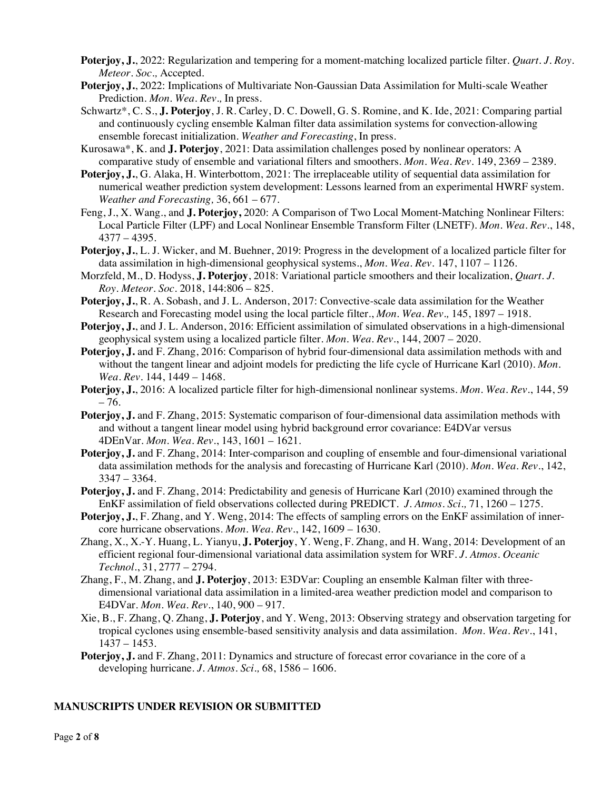- **Poterjoy, J.**, 2022: Regularization and tempering for a moment-matching localized particle filter. *Quart. J. Roy. Meteor. Soc.,* Accepted.
- **Poterjoy, J.**, 2022: Implications of Multivariate Non-Gaussian Data Assimilation for Multi-scale Weather Prediction. *Mon. Wea. Rev.,* In press.
- Schwartz\*, C. S., **J. Poterjoy**, J. R. Carley, D. C. Dowell, G. S. Romine, and K. Ide, 2021: Comparing partial and continuously cycling ensemble Kalman filter data assimilation systems for convection-allowing ensemble forecast initialization. *Weather and Forecasting*, In press.
- Kurosawa\*, K. and **J. Poterjoy**, 2021: Data assimilation challenges posed by nonlinear operators: A comparative study of ensemble and variational filters and smoothers. *Mon. Wea. Rev.* 149, 2369 – 2389*.*
- **Poterjoy, J.**, G. Alaka, H. Winterbottom, 2021: The irreplaceable utility of sequential data assimilation for numerical weather prediction system development: Lessons learned from an experimental HWRF system. *Weather and Forecasting,* 36, 661 – 677.
- Feng, J., X. Wang., and **J. Poterjoy,** 2020: A Comparison of Two Local Moment-Matching Nonlinear Filters: Local Particle Filter (LPF) and Local Nonlinear Ensemble Transform Filter (LNETF). *Mon. Wea. Rev.*, 148, 4377 – 4395.
- **Poterjoy, J.**, L. J. Wicker, and M. Buehner, 2019: Progress in the development of a localized particle filter for data assimilation in high-dimensional geophysical systems., *Mon. Wea. Rev*. 147, 1107 – 1126.
- Morzfeld, M., D. Hodyss, **J. Poterjoy**, 2018: Variational particle smoothers and their localization, *Quart. J. Roy. Meteor. Soc.* 2018, 144:806 – 825.
- Poterjoy, J., R. A. Sobash, and J. L. Anderson, 2017: Convective-scale data assimilation for the Weather Research and Forecasting model using the local particle filter., *Mon. Wea. Rev.,* 145, 1897 – 1918.
- **Poterjoy, J.**, and J. L. Anderson, 2016: Efficient assimilation of simulated observations in a high-dimensional geophysical system using a localized particle filter. *Mon. Wea. Rev*., 144, 2007 – 2020.
- **Poterjoy, J.** and F. Zhang, 2016: Comparison of hybrid four-dimensional data assimilation methods with and without the tangent linear and adjoint models for predicting the life cycle of Hurricane Karl (2010). *Mon. Wea. Rev*. 144, 1449 – 1468.
- **Poterjoy, J.**, 2016: A localized particle filter for high-dimensional nonlinear systems. *Mon. Wea. Rev.*, 144, 59 – 76.
- **Poterjoy, J.** and F. Zhang, 2015: Systematic comparison of four-dimensional data assimilation methods with and without a tangent linear model using hybrid background error covariance: E4DVar versus 4DEnVar. *Mon. Wea. Rev.*, 143, 1601 – 1621.
- **Poterjoy, J.** and F. Zhang, 2014: Inter-comparison and coupling of ensemble and four-dimensional variational data assimilation methods for the analysis and forecasting of Hurricane Karl (2010). *Mon. Wea. Rev.*, 142, 3347 – 3364.
- **Poterjoy, J.** and F. Zhang, 2014: Predictability and genesis of Hurricane Karl (2010) examined through the EnKF assimilation of field observations collected during PREDICT. *J. Atmos. Sci.,* 71, 1260 – 1275.
- **Poterjoy, J.**, F. Zhang, and Y. Weng, 2014: The effects of sampling errors on the EnKF assimilation of innercore hurricane observations. *Mon. Wea. Rev*., 142, 1609 – 1630*.*
- Zhang, X., X.-Y. Huang, L. Yianyu, **J. Poterjoy**, Y. Weng, F. Zhang, and H. Wang, 2014: Development of an efficient regional four-dimensional variational data assimilation system for WRF. *J. Atmos. Oceanic Technol.*, 31, 2777 – 2794.
- Zhang, F., M. Zhang, and **J. Poterjoy**, 2013: E3DVar: Coupling an ensemble Kalman filter with threedimensional variational data assimilation in a limited-area weather prediction model and comparison to E4DVar. *Mon. Wea. Rev.*, 140, 900 – 917.
- Xie, B., F. Zhang, Q. Zhang, **J. Poterjoy**, and Y. Weng, 2013: Observing strategy and observation targeting for tropical cyclones using ensemble-based sensitivity analysis and data assimilation. *Mon. Wea. Rev.*, 141, 1437 – 1453.
- **Poterjoy, J.** and F. Zhang, 2011: Dynamics and structure of forecast error covariance in the core of a developing hurricane. *J. Atmos. Sci.,* 68, 1586 – 1606.

#### **MANUSCRIPTS UNDER REVISION OR SUBMITTED**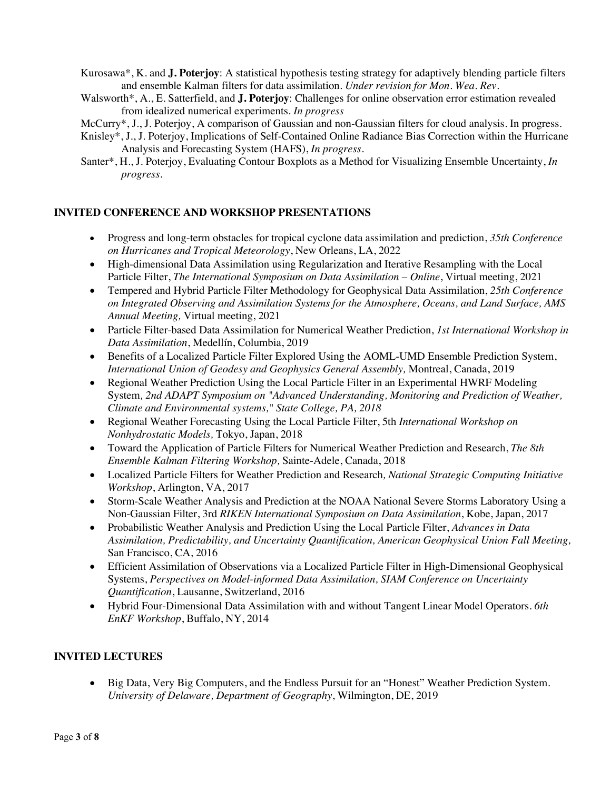- Kurosawa\*, K. and **J. Poterjoy**: A statistical hypothesis testing strategy for adaptively blending particle filters and ensemble Kalman filters for data assimilation. *Under revision for Mon. Wea. Rev.*
- Walsworth\*, A., E. Satterfield, and **J. Poterjoy**: Challenges for online observation error estimation revealed from idealized numerical experiments. *In progress*
- McCurry\*, J., J. Poterjoy, A comparison of Gaussian and non-Gaussian filters for cloud analysis. In progress.
- Knisley\*, J., J. Poterjoy, Implications of Self-Contained Online Radiance Bias Correction within the Hurricane Analysis and Forecasting System (HAFS), *In progress.*
- Santer\*, H., J. Poterjoy, Evaluating Contour Boxplots as a Method for Visualizing Ensemble Uncertainty, *In progress.*

### **INVITED CONFERENCE AND WORKSHOP PRESENTATIONS**

- Progress and long-term obstacles for tropical cyclone data assimilation and prediction, *35th Conference on Hurricanes and Tropical Meteorology*, New Orleans, LA, 2022
- High-dimensional Data Assimilation using Regularization and Iterative Resampling with the Local Particle Filter, *The International Symposium on Data Assimilation – Online*, Virtual meeting, 2021
- Tempered and Hybrid Particle Filter Methodology for Geophysical Data Assimilation, *25th Conference on Integrated Observing and Assimilation Systems for the Atmosphere, Oceans, and Land Surface, AMS Annual Meeting,* Virtual meeting, 2021
- Particle Filter-based Data Assimilation for Numerical Weather Prediction, *1st International Workshop in Data Assimilation*, Medellín, Columbia, 2019
- Benefits of a Localized Particle Filter Explored Using the AOML-UMD Ensemble Prediction System, *International Union of Geodesy and Geophysics General Assembly,* Montreal, Canada, 2019
- Regional Weather Prediction Using the Local Particle Filter in an Experimental HWRF Modeling System*, 2nd ADAPT Symposium on "Advanced Understanding, Monitoring and Prediction of Weather, Climate and Environmental systems," State College, PA, 2018*
- Regional Weather Forecasting Using the Local Particle Filter, 5th *International Workshop on Nonhydrostatic Models,* Tokyo, Japan, 2018
- Toward the Application of Particle Filters for Numerical Weather Prediction and Research, *The 8th Ensemble Kalman Filtering Workshop,* Sainte-Adele, Canada, 2018
- Localized Particle Filters for Weather Prediction and Research*, National Strategic Computing Initiative Workshop*, Arlington, VA, 2017
- Storm-Scale Weather Analysis and Prediction at the NOAA National Severe Storms Laboratory Using a Non-Gaussian Filter, 3rd *RIKEN International Symposium on Data Assimilation*, Kobe, Japan, 2017
- Probabilistic Weather Analysis and Prediction Using the Local Particle Filter, *Advances in Data Assimilation, Predictability, and Uncertainty Quantification, American Geophysical Union Fall Meeting,*  San Francisco, CA, 2016
- Efficient Assimilation of Observations via a Localized Particle Filter in High-Dimensional Geophysical Systems, *Perspectives on Model-informed Data Assimilation, SIAM Conference on Uncertainty Quantification*, Lausanne, Switzerland, 2016
- Hybrid Four-Dimensional Data Assimilation with and without Tangent Linear Model Operators. *6th EnKF Workshop*, Buffalo, NY, 2014

# **INVITED LECTURES**

• Big Data, Very Big Computers, and the Endless Pursuit for an "Honest" Weather Prediction System. *University of Delaware, Department of Geography*, Wilmington, DE, 2019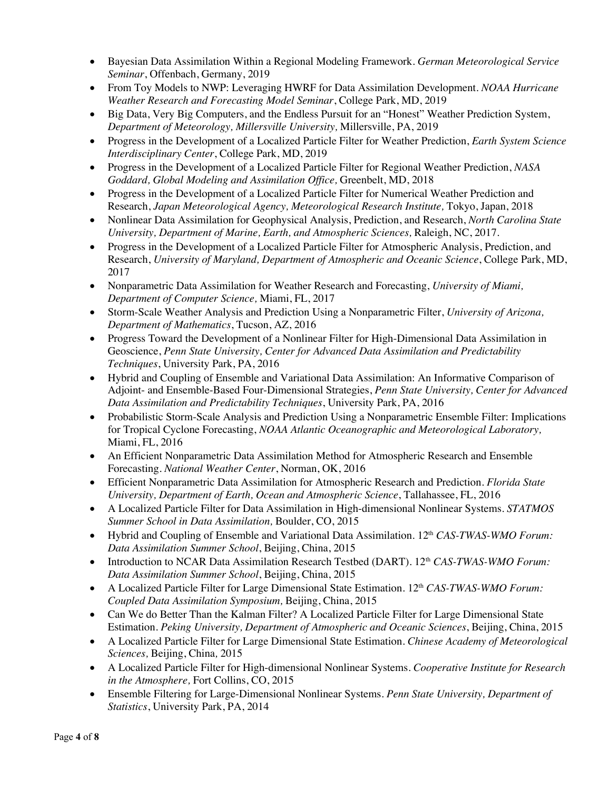- Bayesian Data Assimilation Within a Regional Modeling Framework. *German Meteorological Service Seminar*, Offenbach, Germany, 2019
- From Toy Models to NWP: Leveraging HWRF for Data Assimilation Development. *NOAA Hurricane Weather Research and Forecasting Model Seminar*, College Park, MD, 2019
- Big Data, Very Big Computers, and the Endless Pursuit for an "Honest" Weather Prediction System, *Department of Meteorology, Millersville University,* Millersville, PA, 2019
- Progress in the Development of a Localized Particle Filter for Weather Prediction, *Earth System Science Interdisciplinary Center*, College Park, MD, 2019
- Progress in the Development of a Localized Particle Filter for Regional Weather Prediction, *NASA Goddard, Global Modeling and Assimilation Office,* Greenbelt, MD, 2018
- Progress in the Development of a Localized Particle Filter for Numerical Weather Prediction and Research, *Japan Meteorological Agency, Meteorological Research Institute,* Tokyo, Japan, 2018
- Nonlinear Data Assimilation for Geophysical Analysis, Prediction, and Research, *North Carolina State University, Department of Marine, Earth, and Atmospheric Sciences,* Raleigh, NC, 2017.
- Progress in the Development of a Localized Particle Filter for Atmospheric Analysis, Prediction, and Research, *University of Maryland, Department of Atmospheric and Oceanic Science*, College Park, MD, 2017
- Nonparametric Data Assimilation for Weather Research and Forecasting, *University of Miami, Department of Computer Science,* Miami, FL, 2017
- Storm-Scale Weather Analysis and Prediction Using a Nonparametric Filter, *University of Arizona, Department of Mathematics*, Tucson, AZ, 2016
- Progress Toward the Development of a Nonlinear Filter for High-Dimensional Data Assimilation in Geoscience, *Penn State University, Center for Advanced Data Assimilation and Predictability Techniques*, University Park, PA, 2016
- Hybrid and Coupling of Ensemble and Variational Data Assimilation: An Informative Comparison of Adjoint- and Ensemble-Based Four-Dimensional Strategies, *Penn State University, Center for Advanced Data Assimilation and Predictability Techniques*, University Park, PA, 2016
- Probabilistic Storm-Scale Analysis and Prediction Using a Nonparametric Ensemble Filter: Implications for Tropical Cyclone Forecasting, *NOAA Atlantic Oceanographic and Meteorological Laboratory,*  Miami, FL, 2016
- An Efficient Nonparametric Data Assimilation Method for Atmospheric Research and Ensemble Forecasting. *National Weather Center*, Norman, OK, 2016
- Efficient Nonparametric Data Assimilation for Atmospheric Research and Prediction. *Florida State University, Department of Earth, Ocean and Atmospheric Science*, Tallahassee, FL, 2016
- A Localized Particle Filter for Data Assimilation in High-dimensional Nonlinear Systems. *STATMOS Summer School in Data Assimilation,* Boulder, CO, 2015
- Hybrid and Coupling of Ensemble and Variational Data Assimilation. 12<sup>th</sup> *CAS-TWAS-WMO Forum: Data Assimilation Summer School*, Beijing, China, 2015
- Introduction to NCAR Data Assimilation Research Testbed (DART). 12<sup>th</sup> CAS-TWAS-WMO Forum: *Data Assimilation Summer School*, Beijing, China, 2015
- A Localized Particle Filter for Large Dimensional State Estimation. 12<sup>th</sup> CAS-TWAS-WMO Forum: *Coupled Data Assimilation Symposium,* Beijing, China, 2015
- Can We do Better Than the Kalman Filter? A Localized Particle Filter for Large Dimensional State Estimation. *Peking University, Department of Atmospheric and Oceanic Sciences*, Beijing, China, 2015
- A Localized Particle Filter for Large Dimensional State Estimation. *Chinese Academy of Meteorological Sciences,* Beijing, China*,* 2015
- A Localized Particle Filter for High-dimensional Nonlinear Systems. *Cooperative Institute for Research in the Atmosphere,* Fort Collins, CO, 2015
- Ensemble Filtering for Large-Dimensional Nonlinear Systems. *Penn State University, Department of Statistics*, University Park, PA, 2014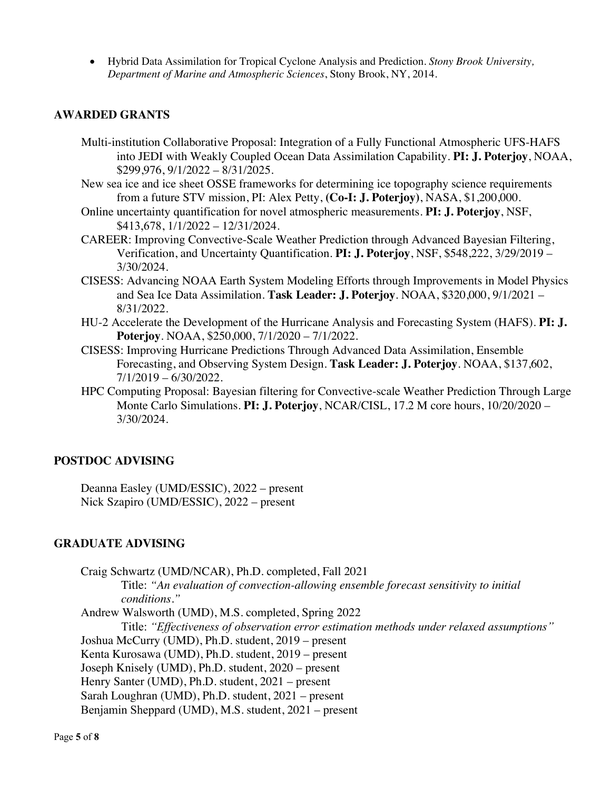• Hybrid Data Assimilation for Tropical Cyclone Analysis and Prediction. *Stony Brook University, Department of Marine and Atmospheric Sciences*, Stony Brook, NY, 2014.

# **AWARDED GRANTS**

- Multi-institution Collaborative Proposal: Integration of a Fully Functional Atmospheric UFS-HAFS into JEDI with Weakly Coupled Ocean Data Assimilation Capability. **PI: J. Poterjoy**, NOAA, \$299,976, 9/1/2022 – 8/31/2025.
- New sea ice and ice sheet OSSE frameworks for determining ice topography science requirements from a future STV mission, PI: Alex Petty, **(Co-I: J. Poterjoy)**, NASA, \$1,200,000.
- Online uncertainty quantification for novel atmospheric measurements. **PI: J. Poterjoy**, NSF, \$413,678, 1/1/2022 – 12/31/2024.
- CAREER: Improving Convective-Scale Weather Prediction through Advanced Bayesian Filtering, Verification, and Uncertainty Quantification. **PI: J. Poterjoy**, NSF, \$548,222, 3/29/2019 – 3/30/2024.
- CISESS: Advancing NOAA Earth System Modeling Efforts through Improvements in Model Physics and Sea Ice Data Assimilation. **Task Leader: J. Poterjoy**. NOAA, \$320,000, 9/1/2021 – 8/31/2022.
- HU-2 Accelerate the Development of the Hurricane Analysis and Forecasting System (HAFS). **PI: J. Poterjoy**. NOAA, \$250,000, 7/1/2020 – 7/1/2022.
- CISESS: Improving Hurricane Predictions Through Advanced Data Assimilation, Ensemble Forecasting, and Observing System Design. **Task Leader: J. Poterjoy**. NOAA, \$137,602, 7/1/2019 – 6/30/2022.
- HPC Computing Proposal: Bayesian filtering for Convective-scale Weather Prediction Through Large Monte Carlo Simulations. **PI: J. Poterjoy**, NCAR/CISL, 17.2 M core hours, 10/20/2020 – 3/30/2024.

# **POSTDOC ADVISING**

Deanna Easley (UMD/ESSIC), 2022 – present Nick Szapiro (UMD/ESSIC), 2022 – present

## **GRADUATE ADVISING**

Craig Schwartz (UMD/NCAR), Ph.D. completed, Fall 2021 Title: *"An evaluation of convection-allowing ensemble forecast sensitivity to initial conditions."* Andrew Walsworth (UMD), M.S. completed, Spring 2022 Title: *"Effectiveness of observation error estimation methods under relaxed assumptions"* Joshua McCurry (UMD), Ph.D. student, 2019 – present Kenta Kurosawa (UMD), Ph.D. student, 2019 – present Joseph Knisely (UMD), Ph.D. student, 2020 – present Henry Santer (UMD), Ph.D. student, 2021 – present Sarah Loughran (UMD), Ph.D. student, 2021 – present Benjamin Sheppard (UMD), M.S. student, 2021 – present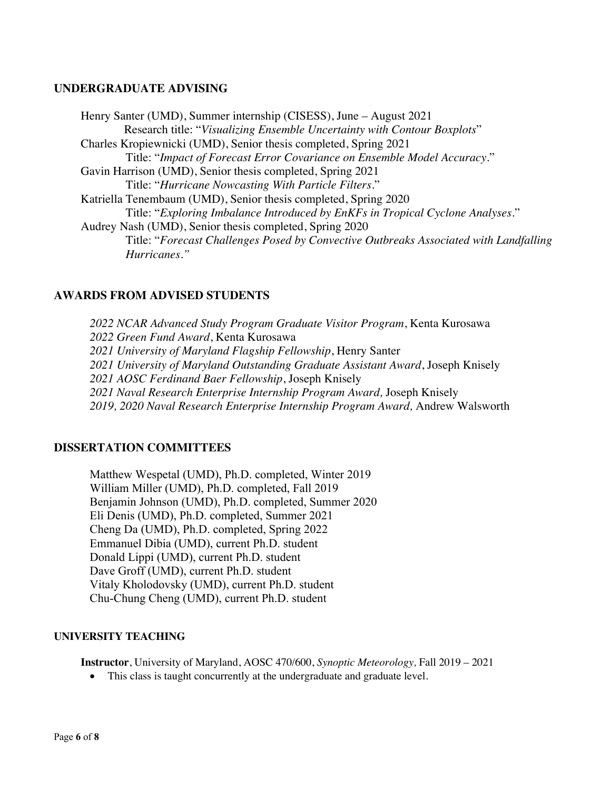### **UNDERGRADUATE ADVISING**

Henry Santer (UMD), Summer internship (CISESS), June – August 2021 Research title: "*Visualizing Ensemble Uncertainty with Contour Boxplots*" Charles Kropiewnicki (UMD), Senior thesis completed, Spring 2021 Title: "*Impact of Forecast Error Covariance on Ensemble Model Accuracy*." Gavin Harrison (UMD), Senior thesis completed, Spring 2021 Title: "*Hurricane Nowcasting With Particle Filters*." Katriella Tenembaum (UMD), Senior thesis completed, Spring 2020 Title: "*Exploring Imbalance Introduced by EnKFs in Tropical Cyclone Analyses*." Audrey Nash (UMD), Senior thesis completed, Spring 2020 Title: "*Forecast Challenges Posed by Convective Outbreaks Associated with Landfalling Hurricanes."*

# **AWARDS FROM ADVISED STUDENTS**

*2022 NCAR Advanced Study Program Graduate Visitor Program*, Kenta Kurosawa *2022 Green Fund Award*, Kenta Kurosawa *2021 University of Maryland Flagship Fellowship*, Henry Santer *2021 University of Maryland Outstanding Graduate Assistant Award*, Joseph Knisely *2021 AOSC Ferdinand Baer Fellowship*, Joseph Knisely *2021 Naval Research Enterprise Internship Program Award,* Joseph Knisely *2019, 2020 Naval Research Enterprise Internship Program Award,* Andrew Walsworth

#### **DISSERTATION COMMITTEES**

Matthew Wespetal (UMD), Ph.D. completed, Winter 2019 William Miller (UMD), Ph.D. completed, Fall 2019 Benjamin Johnson (UMD), Ph.D. completed, Summer 2020 Eli Denis (UMD), Ph.D. completed, Summer 2021 Cheng Da (UMD), Ph.D. completed, Spring 2022 Emmanuel Dibia (UMD), current Ph.D. student Donald Lippi (UMD), current Ph.D. student Dave Groff (UMD), current Ph.D. student Vitaly Kholodovsky (UMD), current Ph.D. student Chu-Chung Cheng (UMD), current Ph.D. student

#### **UNIVERSITY TEACHING**

**Instructor**, University of Maryland, AOSC 470/600, *Synoptic Meteorology,* Fall 2019 – 2021

• This class is taught concurrently at the undergraduate and graduate level.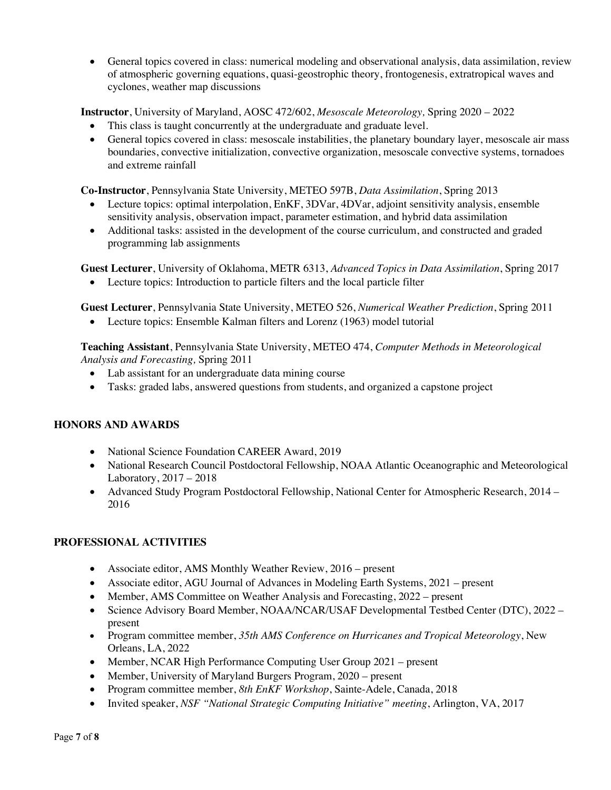• General topics covered in class: numerical modeling and observational analysis, data assimilation, review of atmospheric governing equations, quasi-geostrophic theory, frontogenesis, extratropical waves and cyclones, weather map discussions

**Instructor**, University of Maryland, AOSC 472/602, *Mesoscale Meteorology,* Spring 2020 – 2022

- This class is taught concurrently at the undergraduate and graduate level.
- General topics covered in class: mesoscale instabilities, the planetary boundary layer, mesoscale air mass boundaries, convective initialization, convective organization, mesoscale convective systems, tornadoes and extreme rainfall

**Co-Instructor**, Pennsylvania State University, METEO 597B, *Data Assimilation*, Spring 2013

- Lecture topics: optimal interpolation, EnKF, 3DVar, 4DVar, adjoint sensitivity analysis, ensemble sensitivity analysis, observation impact, parameter estimation, and hybrid data assimilation
- Additional tasks: assisted in the development of the course curriculum, and constructed and graded programming lab assignments

**Guest Lecturer**, University of Oklahoma, METR 6313, *Advanced Topics in Data Assimilation*, Spring 2017

• Lecture topics: Introduction to particle filters and the local particle filter

**Guest Lecturer**, Pennsylvania State University, METEO 526, *Numerical Weather Prediction*, Spring 2011

• Lecture topics: Ensemble Kalman filters and Lorenz (1963) model tutorial

**Teaching Assistant**, Pennsylvania State University, METEO 474, *Computer Methods in Meteorological Analysis and Forecasting,* Spring 2011

- Lab assistant for an undergraduate data mining course
- Tasks: graded labs, answered questions from students, and organized a capstone project

# **HONORS AND AWARDS**

- National Science Foundation CAREER Award, 2019
- National Research Council Postdoctoral Fellowship, NOAA Atlantic Oceanographic and Meteorological Laboratory, 2017 – 2018
- Advanced Study Program Postdoctoral Fellowship, National Center for Atmospheric Research, 2014 2016

# **PROFESSIONAL ACTIVITIES**

- Associate editor, AMS Monthly Weather Review, 2016 present
- Associate editor, AGU Journal of Advances in Modeling Earth Systems, 2021 present
- Member, AMS Committee on Weather Analysis and Forecasting, 2022 present
- Science Advisory Board Member, NOAA/NCAR/USAF Developmental Testbed Center (DTC), 2022 present
- Program committee member, *35th AMS Conference on Hurricanes and Tropical Meteorology*, New Orleans, LA, 2022
- Member, NCAR High Performance Computing User Group 2021 present
- Member, University of Maryland Burgers Program, 2020 present
- Program committee member, *8th EnKF Workshop*, Sainte-Adele, Canada, 2018
- Invited speaker, *NSF "National Strategic Computing Initiative" meeting*, Arlington, VA, 2017